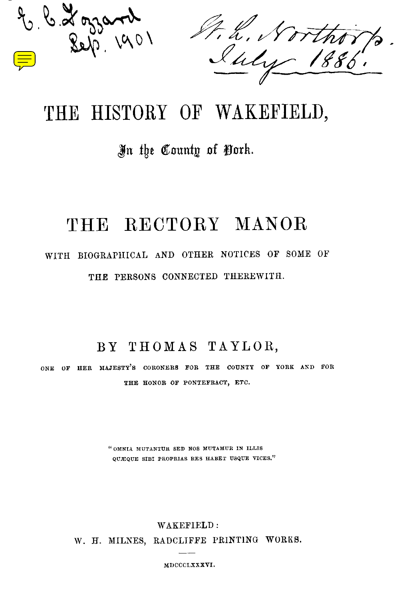

# THE HISTORY OF WAKEFIELD,

# In the County of Pork.

# THE RECTORY MANOR

# WITH BIOGRAPHICAL AND OTHER NOTICES OF SOME OF THE PERSONS CONNECTED THEREWITH.

### BY THOMAS TAYLOR,

ONE OF HER MAJESTY'S CORONERS FOR THE COUNTY OF YORK AND FOR THE HONOR OF PONTEFRACT, ETC.

> " OMNIA MUTANTUR SED NOS MUTAMUR IN ILLIS QUEQUE SIBI PROPRIAS RES HABET USQUE VICES."

> > WAKEFIELD :

W. H. MILNES, RADCLIFFE PRINTING WORKS.

MDCCCLXXXVI.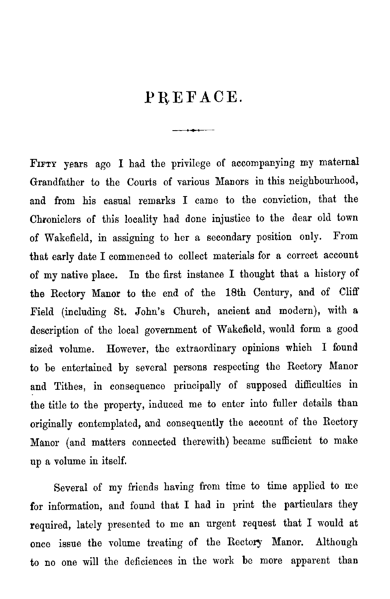## PREFACE.

 $\overline{\phantom{a}}$ 

FIFTY years ago I had the privilege of accompanying my maternal Grandfather to the Courts of various Manors in this neighbourhood, and from his casual remarks I came to the conviction, that the Chroniclers of this locality had done injustice to the dear old town of Wakefield, in assigning to her a secondary position only . From that early date I commenced to collect materials for a correct account of my native place. In the first instance I thought that a history of the Rectory Manor to the end of the 18th Century, and of Cliff Field (including St. John's Church, ancient and modern), with a description of the local government of Wakefield, would form a good sized volume. However, the extraordinary opinions which I found to be entertained by several persons respecting the Rectory Manor and Tithes, in consequence principally of supposed difficulties in the title to the property, induced me to enter into fuller details than originally contemplated, and consequently the account of the Rectory Manor (and matters connected therewith) became sufficient to make up a volume in itself.

Several of my friends having from time to time applied to me for information, and found that I had in print the particulars they required, lately presented to me an urgent request that I would at once issue the volume treating of the Rectory Manor. Although to no one will the deficiences in the work be more apparent than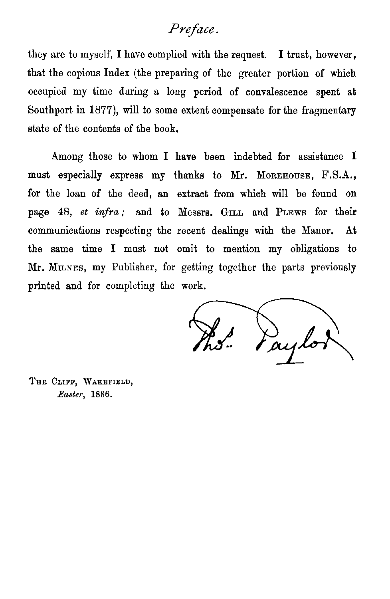#### *Preface .*

they are to myself, I have complied with the request. I trust, however, that the copious Index (the preparing of the greater portion of which occupied my time during a long period of convalescence spent at Southport in 1877), will to some extent compensate for the fragmentary state of the contents of the book.

Among those to whom I have been indebted for assistance I must especially express my thanks to Mr. MOREHOUSE, F.S.A., for the loan of the deed, an extract from which will be found on page 48, *et infra*; and to Messrs. GILL and PLEWS for their communications respecting the recent dealings with the Manor. At the same time I mast not omit to mention my obligations to Mr. MILNES, my Publisher, for getting together the parts previously printed and for completing the work.

**THE CLIFF, WAKEFIELD, Easter, 1886 .**